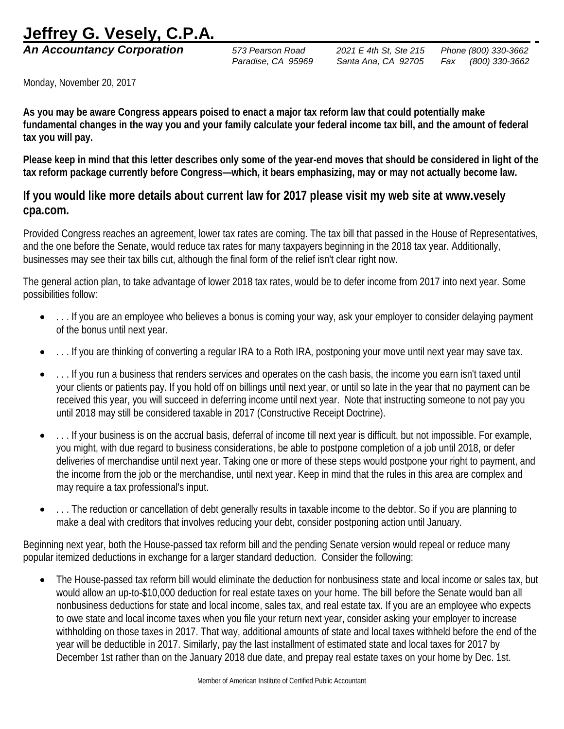## **Jeffrey G. Vesely, C.P.A.**

Monday, November 20, 2017

**As you may be aware Congress appears poised to enact a major tax reform law that could potentially make fundamental changes in the way you and your family calculate your federal income tax bill, and the amount of federal tax you will pay.**

**Please keep in mind that this letter describes only some of the year-end moves that should be considered in light of the tax reform package currently before Congress—which, it bears emphasizing, may or may not actually become law.** 

## **If you would like more details about current law for 2017 please visit my web site at www.vesely cpa.com.**

Provided Congress reaches an agreement, lower tax rates are coming. The tax bill that passed in the House of Representatives, and the one before the Senate, would reduce tax rates for many taxpayers beginning in the 2018 tax year. Additionally, businesses may see their tax bills cut, although the final form of the relief isn't clear right now.

The general action plan, to take advantage of lower 2018 tax rates, would be to defer income from 2017 into next year. Some possibilities follow:

- . . . If you are an employee who believes a bonus is coming your way, ask your employer to consider delaying payment of the bonus until next year.
- ... If you are thinking of converting a regular IRA to a Roth IRA, postponing your move until next year may save tax.
- . . . If you run a business that renders services and operates on the cash basis, the income you earn isn't taxed until your clients or patients pay. If you hold off on billings until next year, or until so late in the year that no payment can be received this year, you will succeed in deferring income until next year. Note that instructing someone to not pay you until 2018 may still be considered taxable in 2017 (Constructive Receipt Doctrine).
- . . . If your business is on the accrual basis, deferral of income till next year is difficult, but not impossible. For example, you might, with due regard to business considerations, be able to postpone completion of a job until 2018, or defer deliveries of merchandise until next year. Taking one or more of these steps would postpone your right to payment, and the income from the job or the merchandise, until next year. Keep in mind that the rules in this area are complex and may require a tax professional's input.
- . . . The reduction or cancellation of debt generally results in taxable income to the debtor. So if you are planning to make a deal with creditors that involves reducing your debt, consider postponing action until January.

Beginning next year, both the House-passed tax reform bill and the pending Senate version would repeal or reduce many popular itemized deductions in exchange for a larger standard deduction. Consider the following:

• The House-passed tax reform bill would eliminate the deduction for nonbusiness state and local income or sales tax, but would allow an up-to-\$10,000 deduction for real estate taxes on your home. The bill before the Senate would ban all nonbusiness deductions for state and local income, sales tax, and real estate tax. If you are an employee who expects to owe state and local income taxes when you file your return next year, consider asking your employer to increase withholding on those taxes in 2017. That way, additional amounts of state and local taxes withheld before the end of the year will be deductible in 2017. Similarly, pay the last installment of estimated state and local taxes for 2017 by December 1st rather than on the January 2018 due date, and prepay real estate taxes on your home by Dec. 1st.